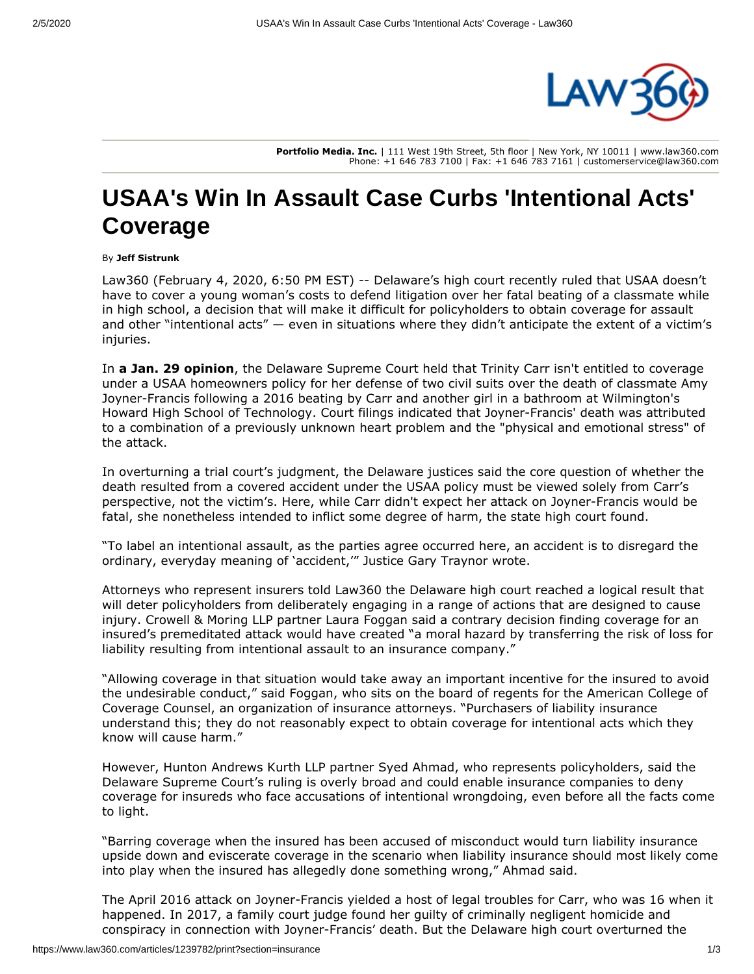

**Portfolio Media. Inc.** | 111 West 19th Street, 5th floor | New York, NY 10011 | www.law360.com Phone: +1 646 783 7100 | Fax: +1 646 783 7161 | customerservice@law360.com

## **USAA's Win In Assault Case Curbs 'Intentional Acts' Coverage**

## By **Jeff Sistrunk**

Law360 (February 4, 2020, 6:50 PM EST) -- Delaware's high court recently ruled that [USAA](https://www.law360.com/companies/united-services-automobile-association) doesn't have to cover a young woman's costs to defend litigation over her fatal beating of a classmate while in high school, a decision that will make it difficult for policyholders to obtain coverage for assault and other "intentional acts"  $-$  even in situations where they didn't anticipate the extent of a victim's injuries.

In **[a Jan. 29 opinion](https://www.law360.com/articles/1238898/student-not-owed-defense-in-fatal-school-bathroom-attack)**, the Delaware Supreme Court held that Trinity Carr isn't entitled to coverage under a USAA homeowners policy for her defense of two civil suits over the death of classmate Amy Joyner-Francis following a 2016 beating by Carr and another girl in a bathroom at Wilmington's Howard High School of Technology. Court filings indicated that Joyner-Francis' death was attributed to a combination of a previously unknown heart problem and the "physical and emotional stress" of the attack.

In overturning a trial court's judgment, the Delaware justices said the core question of whether the death resulted from a covered accident under the USAA policy must be viewed solely from Carr's perspective, not the victim's. Here, while Carr didn't expect her attack on Joyner-Francis would be fatal, she nonetheless intended to inflict some degree of harm, the state high court found.

"To label an intentional assault, as the parties agree occurred here, an accident is to disregard the ordinary, everyday meaning of 'accident,'" Justice Gary Traynor wrote.

Attorneys who represent insurers told Law360 the Delaware high court reached a logical result that will deter policyholders from deliberately engaging in a range of actions that are designed to cause injury. [Crowell & Moring LLP](https://www.law360.com/firms/crowell-moring) partner Laura Foggan said a contrary decision finding coverage for an insured's premeditated attack would have created "a moral hazard by transferring the risk of loss for liability resulting from intentional assault to an insurance company."

"Allowing coverage in that situation would take away an important incentive for the insured to avoid the undesirable conduct," said Foggan, who sits on the board of regents for the American College of Coverage Counsel, an organization of insurance attorneys. "Purchasers of liability insurance understand this; they do not reasonably expect to obtain coverage for intentional acts which they know will cause harm."

However, [Hunton Andrews Kurth LLP](https://www.law360.com/firms/hunton-andrews-kurth) partner Syed Ahmad, who represents policyholders, said the Delaware Supreme Court's ruling is overly broad and could enable insurance companies to deny coverage for insureds who face accusations of intentional wrongdoing, even before all the facts come to light.

"Barring coverage when the insured has been accused of misconduct would turn liability insurance upside down and eviscerate coverage in the scenario when liability insurance should most likely come into play when the insured has allegedly done something wrong," Ahmad said.

The April 2016 attack on Joyner-Francis yielded a host of legal troubles for Carr, who was 16 when it happened. In 2017, a family court judge found her guilty of criminally negligent homicide and conspiracy in connection with Joyner-Francis' death. But the Delaware high court overturned the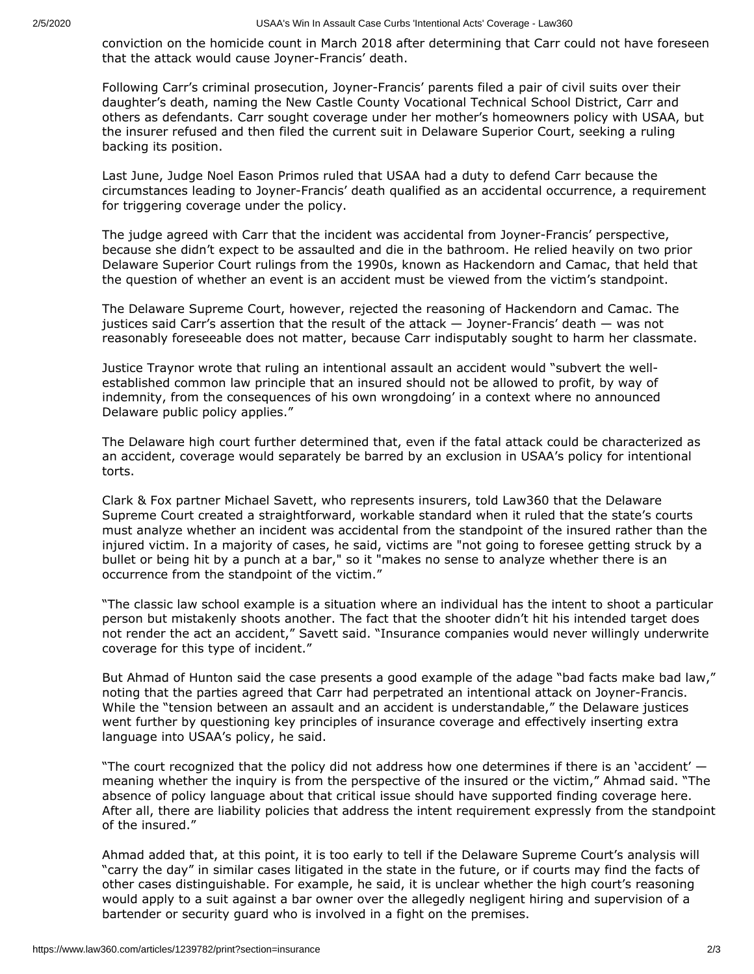conviction on the homicide count in March 2018 after determining that Carr could not have foreseen that the attack would cause Joyner-Francis' death.

Following Carr's criminal prosecution, Joyner-Francis' parents filed a pair of civil suits over their daughter's death, naming the New Castle County Vocational Technical School District, Carr and others as defendants. Carr sought coverage under her mother's homeowners policy with USAA, but the insurer refused and then filed the current suit in Delaware Superior Court, seeking a ruling backing its position.

Last June, Judge Noel Eason Primos ruled that USAA had a duty to defend Carr because the circumstances leading to Joyner-Francis' death qualified as an accidental occurrence, a requirement for triggering coverage under the policy.

The judge agreed with Carr that the incident was accidental from Joyner-Francis' perspective, because she didn't expect to be assaulted and die in the bathroom. He relied heavily on two prior Delaware Superior Court rulings from the 1990s, known as Hackendorn and Camac, that held that the question of whether an event is an accident must be viewed from the victim's standpoint.

The Delaware Supreme Court, however, rejected the reasoning of Hackendorn and Camac. The justices said Carr's assertion that the result of the attack — Joyner-Francis' death — was not reasonably foreseeable does not matter, because Carr indisputably sought to harm her classmate.

Justice Traynor wrote that ruling an intentional assault an accident would "subvert the wellestablished common law principle that an insured should not be allowed to profit, by way of indemnity, from the consequences of his own wrongdoing' in a context where no announced Delaware public policy applies."

The Delaware high court further determined that, even if the fatal attack could be characterized as an accident, coverage would separately be barred by an exclusion in USAA's policy for intentional torts.

[Clark & Fox](https://www.law360.com/firms/clark-fox) partner Michael Savett, who represents insurers, told Law360 that the Delaware Supreme Court created a straightforward, workable standard when it ruled that the state's courts must analyze whether an incident was accidental from the standpoint of the insured rather than the injured victim. In a majority of cases, he said, victims are "not going to foresee getting struck by a bullet or being hit by a punch at a bar," so it "makes no sense to analyze whether there is an occurrence from the standpoint of the victim."

"The classic law school example is a situation where an individual has the intent to shoot a particular person but mistakenly shoots another. The fact that the shooter didn't hit his intended target does not render the act an accident," Savett said. "Insurance companies would never willingly underwrite coverage for this type of incident."

But Ahmad of Hunton said the case presents a good example of the adage "bad facts make bad law," noting that the parties agreed that Carr had perpetrated an intentional attack on Joyner-Francis. While the "tension between an assault and an accident is understandable," the Delaware justices went further by questioning key principles of insurance coverage and effectively inserting extra language into USAA's policy, he said.

"The court recognized that the policy did not address how one determines if there is an 'accident' meaning whether the inquiry is from the perspective of the insured or the victim," Ahmad said. "The absence of policy language about that critical issue should have supported finding coverage here. After all, there are liability policies that address the intent requirement expressly from the standpoint of the insured."

Ahmad added that, at this point, it is too early to tell if the Delaware Supreme Court's analysis will "carry the day" in similar cases litigated in the state in the future, or if courts may find the facts of other cases distinguishable. For example, he said, it is unclear whether the high court's reasoning would apply to a suit against a bar owner over the allegedly negligent hiring and supervision of a bartender or security guard who is involved in a fight on the premises.